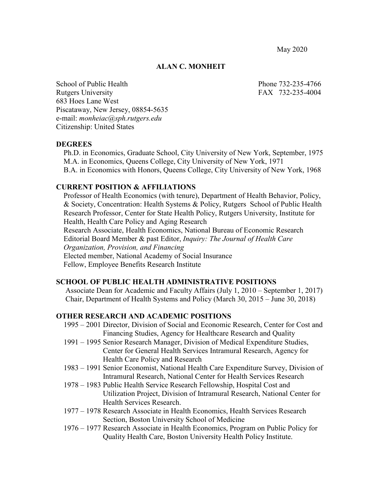May 2020

### **ALAN C. MONHEIT**

School of Public Health Phone 732-235-4766 Rutgers University FAX 732-235-4004 683 Hoes Lane West Piscataway, New Jersey, 08854-5635 e-mail: *monheiac@sph.rutgers.edu* Citizenship: United States

## **DEGREES**

 Ph.D. in Economics, Graduate School, City University of New York, September, 1975 M.A. in Economics, Queens College, City University of New York, 1971 B.A. in Economics with Honors, Queens College, City University of New York, 1968

## **CURRENT POSITION & AFFILIATIONS**

Professor of Health Economics (with tenure), Department of Health Behavior, Policy, & Society, Concentration: Health Systems & Policy, Rutgers School of Public Health Research Professor, Center for State Health Policy, Rutgers University, Institute for Health, Health Care Policy and Aging Research Research Associate, Health Economics, National Bureau of Economic Research Editorial Board Member & past Editor, *Inquiry: The Journal of Health Care Organization, Provision, and Financing* Elected member, National Academy of Social Insurance Fellow, Employee Benefits Research Institute

# **SCHOOL OF PUBLIC HEALTH ADMINISTRATIVE POSITIONS**

Associate Dean for Academic and Faculty Affairs (July 1, 2010 – September 1, 2017) Chair, Department of Health Systems and Policy (March 30, 2015 – June 30, 2018)

# **OTHER RESEARCH AND ACADEMIC POSITIONS**

- 1995 2001 Director, Division of Social and Economic Research, Center for Cost and Financing Studies, Agency for Healthcare Research and Quality
- 1991 1995 Senior Research Manager, Division of Medical Expenditure Studies, Center for General Health Services Intramural Research, Agency for Health Care Policy and Research
- 1983 1991 Senior Economist, National Health Care Expenditure Survey, Division of Intramural Research, National Center for Health Services Research
- 1978 1983 Public Health Service Research Fellowship, Hospital Cost and Utilization Project, Division of Intramural Research, National Center for Health Services Research.
- 1977 1978 Research Associate in Health Economics, Health Services Research Section, Boston University School of Medicine
- 1976 1977 Research Associate in Health Economics, Program on Public Policy for Quality Health Care, Boston University Health Policy Institute.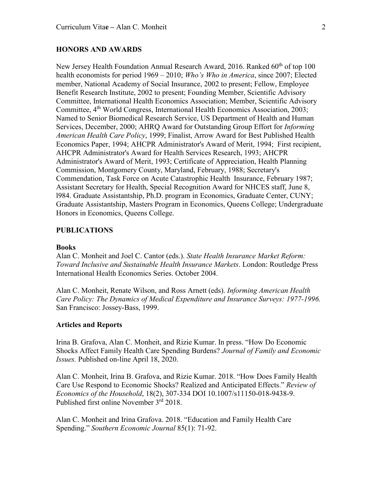## **HONORS AND AWARDS**

New Jersey Health Foundation Annual Research Award, 2016. Ranked 60<sup>th</sup> of top 100 health economists for period 1969 – 2010; *Who's Who in America*, since 2007; Elected member, National Academy of Social Insurance, 2002 to present; Fellow, Employee Benefit Research Institute, 2002 to present; Founding Member, Scientific Advisory Committee, International Health Economics Association; Member, Scientific Advisory Committee,  $4<sup>th</sup>$  World Congress, International Health Economics Association, 2003; Named to Senior Biomedical Research Service, US Department of Health and Human Services, December, 2000; AHRQ Award for Outstanding Group Effort for *Informing American Health Care Policy*, 1999; Finalist, Arrow Award for Best Published Health Economics Paper, 1994; AHCPR Administrator's Award of Merit, 1994; First recipient, AHCPR Administrator's Award for Health Services Research, 1993; AHCPR Administrator's Award of Merit, 1993; Certificate of Appreciation, Health Planning Commission, Montgomery County, Maryland, February, 1988; Secretary's Commendation, Task Force on Acute Catastrophic Health Insurance, February 1987; Assistant Secretary for Health, Special Recognition Award for NHCES staff, June 8, l984. Graduate Assistantship, Ph.D. program in Economics, Graduate Center, CUNY; Graduate Assistantship, Masters Program in Economics, Queens College; Undergraduate Honors in Economics, Queens College.

### **PUBLICATIONS**

#### **Books**

Alan C. Monheit and Joel C. Cantor (eds.). *State Health Insurance Market Reform: Toward Inclusive and Sustainable Health Insurance Markets*. London: Routledge Press International Health Economics Series. October 2004.

Alan C. Monheit, Renate Wilson, and Ross Arnett (eds). *Informing American Health Care Policy: The Dynamics of Medical Expenditure and Insurance Surveys: 1977-1996.* San Francisco: Jossey-Bass, 1999.

#### **Articles and Reports**

Irina B. Grafova, Alan C. Monheit, and Rizie Kumar. In press. "How Do Economic Shocks Affect Family Health Care Spending Burdens? *Journal of Family and Economic Issues.* Published on-line April 18, 2020.

Alan C. Monheit, Irina B. Grafova, and Rizie Kumar. 2018. "How Does Family Health Care Use Respond to Economic Shocks? Realized and Anticipated Effects." *Review of Economics of the Household*, 18(2), 307-334 DOI 10.1007/s11150-018-9438-9. Published first online November 3<sup>rd</sup> 2018.

Alan C. Monheit and Irina Grafova. 2018. "Education and Family Health Care Spending." *Southern Economic Journal* 85(1): 71-92.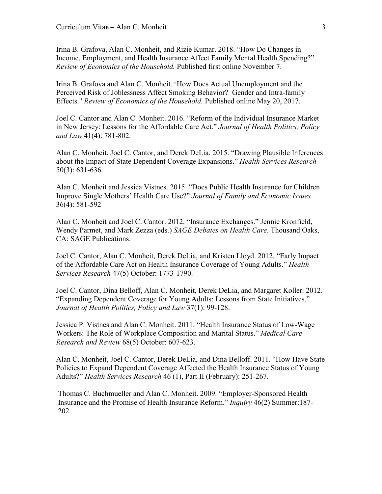Irina B. Grafova, Alan C. Monheit, and Rizie Kumar. 2018. "How Do Changes in Income, Employment, and Health Insurance Affect Family Mental Health Spending?" *Review of Economics of the Household.* Published first online November 7.

Irina B. Grafova and Alan C. Monheit. "How Does Actual Unemployment and the Perceived Risk of Joblessness Affect Smoking Behavior? Gender and Intra-family Effects." *Review of Economics of the Household.* Published online May 20, 2017.

Joel C. Cantor and Alan C. Monheit. 2016. "Reform of the Individual Insurance Market in New Jersey: Lessons for the Affordable Care Act." *Journal of Health Politics, Policy and Law* 41(4): 781-802.

Alan C. Monheit, Joel C. Cantor, and Derek DeLia. 2015. "Drawing Plausible Inferences about the Impact of State Dependent Coverage Expansions." *Health Services Research* 50(3): 631-636.

Alan C. Monheit and Jessica Vistnes. 2015. "Does Public Health Insurance for Children Improve Single Mothers' Health Care Use?" *Journal of Family and Economic Issues* 36(4): 581-592

Alan C. Monheit and Joel C. Cantor. 2012. "Insurance Exchanges." Jennie Kronfield, Wendy Parmet, and Mark Zezza (eds.) *SAGE Debates on Health Care*. Thousand Oaks, CA: SAGE Publications.

Joel C. Cantor, Alan C. Monheit, Derek DeLia, and Kristen Lloyd. 2012. "Early Impact of the Affordable Care Act on Health Insurance Coverage of Young Adults." *Health Services Research* 47(5) October: 1773-1790.

Joel C. Cantor, Dina Belloff, Alan C. Monheit, Derek DeLia, and Margaret Koller. 2012. "Expanding Dependent Coverage for Young Adults: Lessons from State Initiatives." *Journal of Health Politics, Policy and Law* 37(1): 99-128.

Jessica P. Vistnes and Alan C. Monheit. 2011. "Health Insurance Status of Low-Wage Workers: The Role of Workplace Composition and Marital Status." *Medical Care Research and Review* 68(5) October: 607-623.

Alan C. Monheit, Joel C. Cantor, Derek DeLia, and Dina Belloff. 2011. "How Have State Policies to Expand Dependent Coverage Affected the Health Insurance Status of Young Adults?" *Health Services Research* 46 (1), Part II (February): 251-267.

Thomas C. Buchmueller and Alan C. Monheit. 2009. "Employer-Sponsored Health Insurance and the Promise of Health Insurance Reform." *Inquiry* 46(2) Summer:187- 202.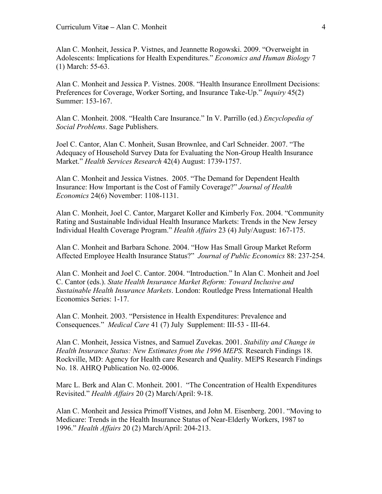Alan C. Monheit, Jessica P. Vistnes, and Jeannette Rogowski. 2009. "Overweight in Adolescents: Implications for Health Expenditures." *Economics and Human Biology* 7 (1) March: 55-63.

Alan C. Monheit and Jessica P. Vistnes. 2008. "Health Insurance Enrollment Decisions: Preferences for Coverage, Worker Sorting, and Insurance Take-Up." *Inquiry* 45(2) Summer: 153-167.

Alan C. Monheit. 2008. "Health Care Insurance." In V. Parrillo (ed.) *Encyclopedia of Social Problems*. Sage Publishers.

Joel C. Cantor, Alan C. Monheit, Susan Brownlee, and Carl Schneider. 2007. "The Adequacy of Household Survey Data for Evaluating the Non-Group Health Insurance Market." *Health Services Research* 42(4) August: 1739-1757.

Alan C. Monheit and Jessica Vistnes. 2005. "The Demand for Dependent Health Insurance: How Important is the Cost of Family Coverage?" *Journal of Health Economics* 24(6) November: 1108-1131.

Alan C. Monheit, Joel C. Cantor, Margaret Koller and Kimberly Fox. 2004. "Community Rating and Sustainable Individual Health Insurance Markets: Trends in the New Jersey Individual Health Coverage Program." *Health Affairs* 23 (4) July/August: 167-175.

Alan C. Monheit and Barbara Schone. 2004. "How Has Small Group Market Reform Affected Employee Health Insurance Status?" *Journal of Public Economics* 88: 237-254.

Alan C. Monheit and Joel C. Cantor. 2004. "Introduction." In Alan C. Monheit and Joel C. Cantor (eds.). *State Health Insurance Market Reform: Toward Inclusive and Sustainable Health Insurance Markets*. London: Routledge Press International Health Economics Series: 1-17.

Alan C. Monheit. 2003. "Persistence in Health Expenditures: Prevalence and Consequences." *Medical Care* 41 (7) July Supplement: III-53 - III-64.

Alan C. Monheit, Jessica Vistnes, and Samuel Zuvekas. 2001. *Stability and Change in Health Insurance Status: New Estimates from the 1996 MEPS.* Research Findings 18. Rockville, MD: Agency for Health care Research and Quality. MEPS Research Findings No. 18. AHRQ Publication No. 02-0006.

Marc L. Berk and Alan C. Monheit. 2001. "The Concentration of Health Expenditures Revisited." *Health Affairs* 20 (2) March/April: 9-18.

Alan C. Monheit and Jessica Primoff Vistnes, and John M. Eisenberg. 2001. "Moving to Medicare: Trends in the Health Insurance Status of Near-Elderly Workers, 1987 to 1996." *Health Affairs* 20 (2) March/April: 204-213.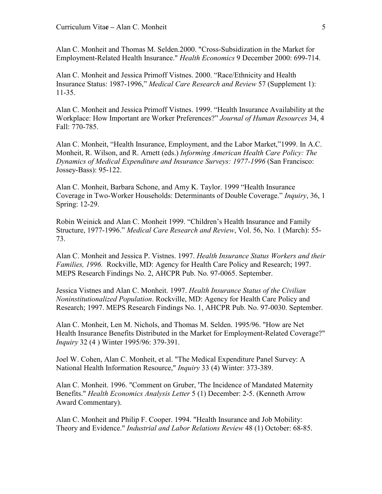Alan C. Monheit and Thomas M. Selden.2000. "Cross-Subsidization in the Market for Employment-Related Health Insurance." *Health Economics* 9 December 2000: 699-714.

Alan C. Monheit and Jessica Primoff Vistnes. 2000. "Race/Ethnicity and Health Insurance Status: 1987-1996," *Medical Care Research and Review* 57 (Supplement 1): 11-35.

Alan C. Monheit and Jessica Primoff Vistnes. 1999. "Health Insurance Availability at the Workplace: How Important are Worker Preferences?" *Journal of Human Resources* 34, 4 Fall: 770-785.

Alan C. Monheit, "Health Insurance, Employment, and the Labor Market,"1999. In A.C. Monheit, R. Wilson, and R. Arnett (eds.) *Informing American Health Care Policy: The Dynamics of Medical Expenditure and Insurance Surveys: 1977-1996* (San Francisco: Jossey-Bass): 95-122.

Alan C. Monheit, Barbara Schone, and Amy K. Taylor. 1999 "Health Insurance Coverage in Two-Worker Households: Determinants of Double Coverage." *Inquiry*, 36, 1 Spring: 12-29.

Robin Weinick and Alan C. Monheit 1999. "Children's Health Insurance and Family Structure, 1977-1996." *Medical Care Research and Review*, Vol. 56, No. 1 (March): 55- 73.

Alan C. Monheit and Jessica P. Vistnes. 1997. *Health Insurance Status Workers and their Families, 1996.* Rockville, MD: Agency for Health Care Policy and Research; 1997. MEPS Research Findings No. 2, AHCPR Pub. No. 97-0065. September.

Jessica Vistnes and Alan C. Monheit. 1997. *Health Insurance Status of the Civilian Noninstitutionalized Population*. Rockville, MD: Agency for Health Care Policy and Research; 1997. MEPS Research Findings No. 1, AHCPR Pub. No. 97-0030. September.

Alan C. Monheit, Len M. Nichols, and Thomas M. Selden. 1995/96. "How are Net Health Insurance Benefits Distributed in the Market for Employment-Related Coverage?" *Inquiry* 32 (4 ) Winter 1995/96: 379-391.

Joel W. Cohen, Alan C. Monheit, et al. "The Medical Expenditure Panel Survey: A National Health Information Resource," *Inquiry* 33 (4) Winter: 373-389.

Alan C. Monheit. 1996. "Comment on Gruber, 'The Incidence of Mandated Maternity Benefits." *Health Economics Analysis Letter* 5 (1) December: 2-5. (Kenneth Arrow Award Commentary).

Alan C. Monheit and Philip F. Cooper. 1994. "Health Insurance and Job Mobility: Theory and Evidence." *Industrial and Labor Relations Review* 48 (1) October: 68-85.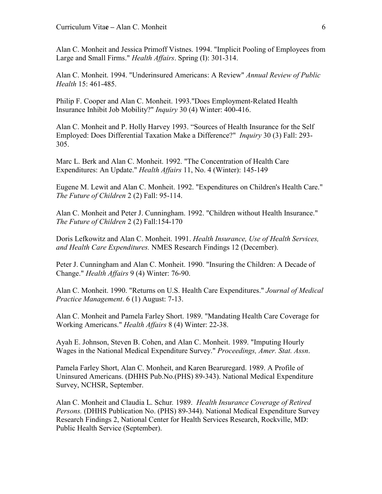Alan C. Monheit and Jessica Primoff Vistnes. 1994. "Implicit Pooling of Employees from Large and Small Firms." *Health Affairs*. Spring (I): 301-314.

Alan C. Monheit. 1994. "Underinsured Americans: A Review" *Annual Review of Public Health* 15: 461-485.

Philip F. Cooper and Alan C. Monheit. 1993."Does Employment-Related Health Insurance Inhibit Job Mobility?" *Inquiry* 30 (4) Winter: 400-416.

Alan C. Monheit and P. Holly Harvey 1993. "Sources of Health Insurance for the Self Employed: Does Differential Taxation Make a Difference?" *Inquiry* 30 (3) Fall: 293- 305.

Marc L. Berk and Alan C. Monheit. 1992. "The Concentration of Health Care Expenditures: An Update." *Health Affairs* 11, No. 4 (Winter): 145-149

Eugene M. Lewit and Alan C. Monheit. 1992. "Expenditures on Children's Health Care." *The Future of Children* 2 (2) Fall: 95-114.

Alan C. Monheit and Peter J. Cunningham. 1992. "Children without Health Insurance." *The Future of Children* 2 (2) Fall:154-170

Doris Lefkowitz and Alan C. Monheit. 1991. *Health Insurance, Use of Health Services, and Health Care Expenditures.* NMES Research Findings 12 (December).

Peter J. Cunningham and Alan C. Monheit. 1990. "Insuring the Children: A Decade of Change." *Health Affairs* 9 (4) Winter: 76-90.

Alan C. Monheit. 1990. "Returns on U.S. Health Care Expenditures." *Journal of Medical Practice Management*. 6 (1) August: 7-13.

Alan C. Monheit and Pamela Farley Short. 1989. "Mandating Health Care Coverage for Working Americans." *Health Affairs* 8 (4) Winter: 22-38.

Ayah E. Johnson, Steven B. Cohen, and Alan C. Monheit. 1989. "Imputing Hourly Wages in the National Medical Expenditure Survey." *Proceedings, Amer. Stat. Assn*.

Pamela Farley Short, Alan C. Monheit, and Karen Bearuregard. 1989. A Profile of Uninsured Americans. (DHHS Pub.No.(PHS) 89-343). National Medical Expenditure Survey, NCHSR, September.

Alan C. Monheit and Claudia L. Schur*.* 1989. *Health Insurance Coverage of Retired Persons.* (DHHS Publication No. (PHS) 89-344). National Medical Expenditure Survey Research Findings 2, National Center for Health Services Research, Rockville, MD: Public Health Service (September).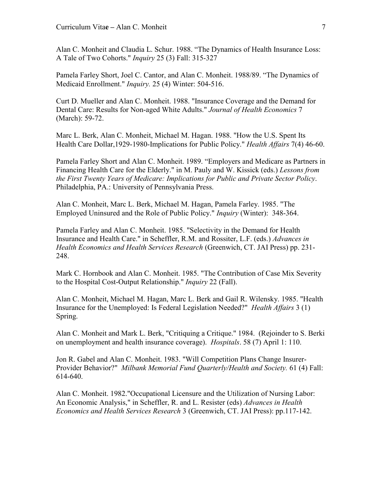Alan C. Monheit and Claudia L. Schur. 1988. "The Dynamics of Health Insurance Loss: A Tale of Two Cohorts." *Inquiry* 25 (3) Fall: 315-327

Pamela Farley Short, Joel C. Cantor, and Alan C. Monheit. 1988/89. "The Dynamics of Medicaid Enrollment." *Inquiry.* 25 (4) Winter: 504-516.

Curt D. Mueller and Alan C. Monheit. 1988. "Insurance Coverage and the Demand for Dental Care: Results for Non-aged White Adults." *Journal of Health Economics* 7 (March): 59-72.

Marc L. Berk, Alan C. Monheit, Michael M. Hagan. 1988. "How the U.S. Spent Its Health Care Dollar,1929-1980-Implications for Public Policy." *Health Affairs* 7(4) 46-60.

Pamela Farley Short and Alan C. Monheit. 1989. "Employers and Medicare as Partners in Financing Health Care for the Elderly." in M. Pauly and W. Kissick (eds.) *Lessons from the First Twenty Years of Medicare: Implications for Public and Private Sector Policy*. Philadelphia, PA.: University of Pennsylvania Press.

Alan C. Monheit, Marc L. Berk, Michael M. Hagan, Pamela Farley. 1985. "The Employed Uninsured and the Role of Public Policy." *Inquiry* (Winter): 348-364.

Pamela Farley and Alan C. Monheit. 1985. "Selectivity in the Demand for Health Insurance and Health Care." in Scheffler, R.M. and Rossiter, L.F. (eds.) *Advances in Health Economics and Health Services Research* (Greenwich, CT. JAI Press) pp. 231- 248.

Mark C. Hornbook and Alan C. Monheit. 1985. "The Contribution of Case Mix Severity to the Hospital Cost-Output Relationship." *Inquiry* 22 (Fall).

Alan C. Monheit, Michael M. Hagan, Marc L. Berk and Gail R. Wilensky. 1985. "Health Insurance for the Unemployed: Is Federal Legislation Needed?" *Health Affairs* 3 (1) Spring.

Alan C. Monheit and Mark L. Berk, "Critiquing a Critique." 1984. (Rejoinder to S. Berki on unemployment and health insurance coverage). *Hospitals*. 58 (7) April 1: 110.

Jon R. Gabel and Alan C. Monheit. 1983. "Will Competition Plans Change Insurer-Provider Behavior?" *Milbank Memorial Fund Quarterly/Health and Society.* 61 (4) Fall: 614-640.

Alan C. Monheit. 1982."Occupational Licensure and the Utilization of Nursing Labor: An Economic Analysis," in Scheffler, R. and L. Resister (eds) *Advances in Health Economics and Health Services Research* 3 (Greenwich, CT. JAI Press): pp.117-142.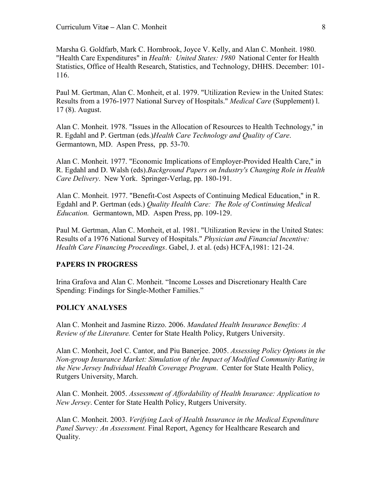Marsha G. Goldfarb, Mark C. Hornbrook, Joyce V. Kelly, and Alan C. Monheit. 1980. "Health Care Expenditures" in *Health: United States: 1980* National Center for Health Statistics, Office of Health Research, Statistics, and Technology, DHHS. December: 101- 116.

Paul M. Gertman, Alan C. Monheit, et al. 1979. "Utilization Review in the United States: Results from a 1976-1977 National Survey of Hospitals." *Medical Care* (Supplement) l. 17 (8). August.

Alan C. Monheit. 1978. "Issues in the Allocation of Resources to Health Technology," in R. Egdahl and P. Gertman (eds.)*Health Care Technology and Quality of Care*. Germantown, MD. Aspen Press, pp. 53-70.

Alan C. Monheit. 1977. "Economic Implications of Employer-Provided Health Care," in R. Egdahl and D. Walsh (eds).*Background Papers on Industry's Changing Role in Health Care Delivery*. New York. Springer-Verlag, pp. 180-191.

Alan C. Monheit. 1977. "Benefit-Cost Aspects of Continuing Medical Education," in R. Egdahl and P. Gertman (eds.) *Quality Health Care: The Role of Continuing Medical Education.* Germantown, MD. Aspen Press, pp. 109-129.

Paul M. Gertman, Alan C. Monheit, et al. 1981. "Utilization Review in the United States: Results of a 1976 National Survey of Hospitals." *Physician and Financial Incentive: Health Care Financing Proceedings*. Gabel, J. et al. (eds) HCFA,1981: 121-24.

# **PAPERS IN PROGRESS**

Irina Grafova and Alan C. Monheit. "Income Losses and Discretionary Health Care Spending: Findings for Single-Mother Families."

#### **POLICY ANALYSES**

Alan C. Monheit and Jasmine Rizzo. 2006. *Mandated Health Insurance Benefits: A Review of the Literature.* Center for State Health Policy, Rutgers University.

Alan C. Monheit, Joel C. Cantor, and Piu Banerjee. 2005. *Assessing Policy Options in the Non-group Insurance Market: Simulation of the Impact of Modified Community Rating in the New Jersey Individual Health Coverage Program*. Center for State Health Policy, Rutgers University, March.

Alan C. Monheit. 2005. *Assessment of Affordability of Health Insurance: Application to New Jersey*. Center for State Health Policy, Rutgers University.

Alan C. Monheit. 2003. *Verifying Lack of Health Insurance in the Medical Expenditure Panel Survey: An Assessment.* Final Report, Agency for Healthcare Research and Quality.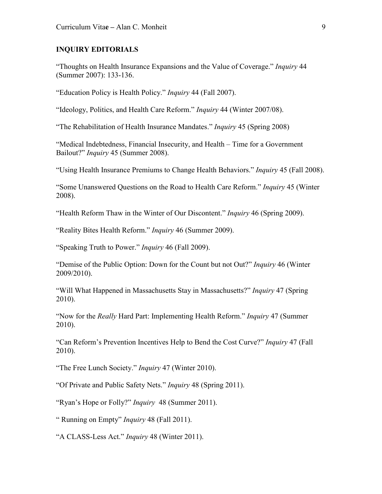### **INQUIRY EDITORIALS**

"Thoughts on Health Insurance Expansions and the Value of Coverage." *Inquiry* 44 (Summer 2007): 133-136.

"Education Policy is Health Policy." *Inquiry* 44 (Fall 2007).

"Ideology, Politics, and Health Care Reform." *Inquiry* 44 (Winter 2007/08).

"The Rehabilitation of Health Insurance Mandates." *Inquiry* 45 (Spring 2008)

"Medical Indebtedness, Financial Insecurity, and Health – Time for a Government Bailout?" *Inquiry* 45 (Summer 2008).

"Using Health Insurance Premiums to Change Health Behaviors." *Inquiry* 45 (Fall 2008).

"Some Unanswered Questions on the Road to Health Care Reform." *Inquiry* 45 (Winter 2008).

"Health Reform Thaw in the Winter of Our Discontent." *Inquiry* 46 (Spring 2009).

"Reality Bites Health Reform." *Inquiry* 46 (Summer 2009).

"Speaking Truth to Power." *Inquiry* 46 (Fall 2009).

"Demise of the Public Option: Down for the Count but not Out?" *Inquiry* 46 (Winter 2009/2010).

"Will What Happened in Massachusetts Stay in Massachusetts?" *Inquiry* 47 (Spring 2010).

"Now for the *Really* Hard Part: Implementing Health Reform." *Inquiry* 47 (Summer 2010).

"Can Reform's Prevention Incentives Help to Bend the Cost Curve?" *Inquiry* 47 (Fall 2010).

"The Free Lunch Society." *Inquiry* 47 (Winter 2010).

"Of Private and Public Safety Nets." *Inquiry* 48 (Spring 2011).

"Ryan's Hope or Folly?" *Inquiry* 48 (Summer 2011).

" Running on Empty" *Inquiry* 48 (Fall 2011).

"A CLASS-Less Act." *Inquiry* 48 (Winter 2011).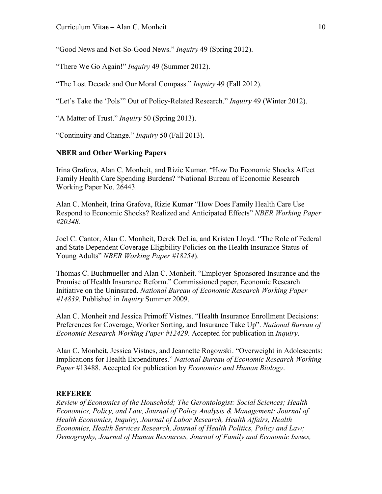"Good News and Not-So-Good News." *Inquiry* 49 (Spring 2012).

"There We Go Again!" *Inquiry* 49 (Summer 2012).

"The Lost Decade and Our Moral Compass." *Inquiry* 49 (Fall 2012).

"Let's Take the 'Pols'" Out of Policy-Related Research." *Inquiry* 49 (Winter 2012).

"A Matter of Trust." *Inquiry* 50 (Spring 2013).

"Continuity and Change." *Inquiry* 50 (Fall 2013).

## **NBER and Other Working Papers**

Irina Grafova, Alan C. Monheit, and Rizie Kumar. "How Do Economic Shocks Affect Family Health Care Spending Burdens? "National Bureau of Economic Research Working Paper No. 26443.

Alan C. Monheit, Irina Grafova, Rizie Kumar "How Does Family Health Care Use Respond to Economic Shocks? Realized and Anticipated Effects" *NBER Working Paper #20348.*

Joel C. Cantor, Alan C. Monheit, Derek DeLia, and Kristen Lloyd. "The Role of Federal and State Dependent Coverage Eligibility Policies on the Health Insurance Status of Young Adults" *NBER Working Paper #18254*).

Thomas C. Buchmueller and Alan C. Monheit. "Employer-Sponsored Insurance and the Promise of Health Insurance Reform." Commissioned paper, Economic Research Initiative on the Uninsured. *National Bureau of Economic Research Working Paper #14839*. Published in *Inquiry* Summer 2009.

Alan C. Monheit and Jessica Primoff Vistnes. "Health Insurance Enrollment Decisions: Preferences for Coverage, Worker Sorting, and Insurance Take Up". *National Bureau of Economic Research Working Paper #12429*. Accepted for publication in *Inquiry*.

Alan C. Monheit, Jessica Vistnes, and Jeannette Rogowski. "Overweight in Adolescents: Implications for Health Expenditures." *National Bureau of Economic Research Working Paper* #13488. Accepted for publication by *Economics and Human Biology*.

### **REFEREE**

*Review of Economics of the Household; The Gerontologist: Social Sciences; Health Economics, Policy, and Law, Journal of Policy Analysis & Management; Journal of Health Economics, Inquiry, Journal of Labor Research, Health Affairs, Health Economics, Health Services Research, Journal of Health Politics, Policy and Law; Demography, Journal of Human Resources, Journal of Family and Economic Issues,*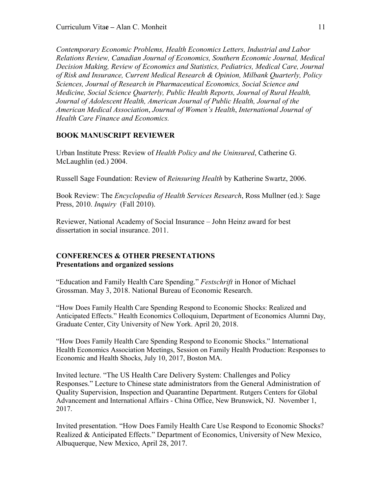*Contemporary Economic Problems, Health Economics Letters, Industrial and Labor Relations Review, Canadian Journal of Economics, Southern Economic Journal, Medical Decision Making, Review of Economics and Statistics, Pediatrics, Medical Care, Journal of Risk and Insurance, Current Medical Research & Opinion, Milbank Quarterly, Policy Sciences, Journal of Research in Pharmaceutical Economics, Social Science and Medicine, Social Science Quarterly, Public Health Reports, Journal of Rural Health, Journal of Adolescent Health, American Journal of Public Health, Journal of the American Medical Association*, *Journal of Women's Health*, *International Journal of Health Care Finance and Economics.*

### **BOOK MANUSCRIPT REVIEWER**

Urban Institute Press: Review of *Health Policy and the Uninsured*, Catherine G. McLaughlin (ed.) 2004.

Russell Sage Foundation: Review of *Reinsuring Health* by Katherine Swartz, 2006.

Book Review: The *Encyclopedia of Health Services Research*, Ross Mullner (ed.): Sage Press, 2010. *Inquiry* (Fall 2010).

Reviewer, National Academy of Social Insurance – John Heinz award for best dissertation in social insurance. 2011.

# **CONFERENCES & OTHER PRESENTATIONS Presentations and organized sessions**

"Education and Family Health Care Spending." *Festschrift* in Honor of Michael Grossman. May 3, 2018. National Bureau of Economic Research.

"How Does Family Health Care Spending Respond to Economic Shocks: Realized and Anticipated Effects." Health Economics Colloquium, Department of Economics Alumni Day, Graduate Center, City University of New York. April 20, 2018.

"How Does Family Health Care Spending Respond to Economic Shocks." International Health Economics Association Meetings, Session on Family Health Production: Responses to Economic and Health Shocks, July 10, 2017, Boston MA.

Invited lecture. "The US Health Care Delivery System: Challenges and Policy Responses." Lecture to Chinese state administrators from the General Administration of Quality Supervision, Inspection and Quarantine Department. Rutgers Centers for Global Advancement and International Affairs - China Office, New Brunswick, NJ. November 1, 2017.

Invited presentation. "How Does Family Health Care Use Respond to Economic Shocks? Realized & Anticipated Effects." Department of Economics, University of New Mexico, Albuquerque, New Mexico, April 28, 2017.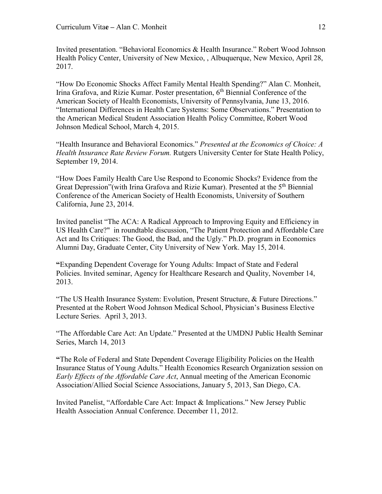Invited presentation. "Behavioral Economics & Health Insurance." Robert Wood Johnson Health Policy Center, University of New Mexico, , Albuquerque, New Mexico, April 28, 2017.

"How Do Economic Shocks Affect Family Mental Health Spending?" Alan C. Monheit, Irina Grafova, and Rizie Kumar. Poster presentation, 6<sup>th</sup> Biennial Conference of the American Society of Health Economists, University of Pennsylvania, June 13, 2016. "International Differences in Health Care Systems: Some Observations." Presentation to the American Medical Student Association Health Policy Committee, Robert Wood Johnson Medical School, March 4, 2015.

"Health Insurance and Behavioral Economics." *Presented at the Economics of Choice: A Health Insurance Rate Review Forum.* Rutgers University Center for State Health Policy, September 19, 2014.

"How Does Family Health Care Use Respond to Economic Shocks? Evidence from the Great Depression" (with Irina Grafova and Rizie Kumar). Presented at the 5<sup>th</sup> Biennial Conference of the American Society of Health Economists, University of Southern California, June 23, 2014.

Invited panelist "The ACA: A Radical Approach to Improving Equity and Efficiency in US Health Care?" in roundtable discussion, "The Patient Protection and Affordable Care Act and Its Critiques: The Good, the Bad, and the Ugly." Ph.D. program in Economics Alumni Day, Graduate Center, City University of New York. May 15, 2014.

**"**Expanding Dependent Coverage for Young Adults: Impact of State and Federal Policies. Invited seminar, Agency for Healthcare Research and Quality, November 14, 2013.

"The US Health Insurance System: Evolution, Present Structure, & Future Directions." Presented at the Robert Wood Johnson Medical School, Physician's Business Elective Lecture Series. April 3, 2013.

"The Affordable Care Act: An Update." Presented at the UMDNJ Public Health Seminar Series, March 14, 2013

**"**The Role of Federal and State Dependent Coverage Eligibility Policies on the Health Insurance Status of Young Adults." Health Economics Research Organization session on *Early Effects of the Affordable Care Act*, Annual meeting of the American Economic Association/Allied Social Science Associations, January 5, 2013, San Diego, CA.

Invited Panelist, "Affordable Care Act: Impact & Implications." New Jersey Public Health Association Annual Conference. December 11, 2012.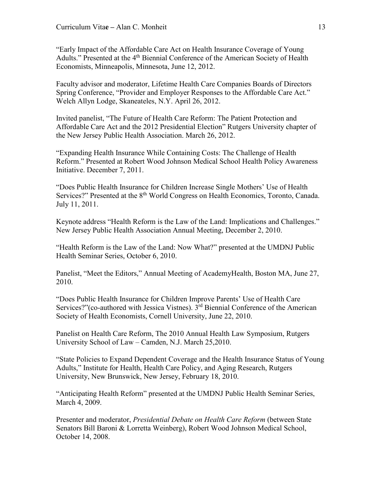"Early Impact of the Affordable Care Act on Health Insurance Coverage of Young Adults." Presented at the 4<sup>th</sup> Biennial Conference of the American Society of Health Economists, Minneapolis, Minnesota, June 12, 2012.

Faculty advisor and moderator, Lifetime Health Care Companies Boards of Directors Spring Conference, "Provider and Employer Responses to the Affordable Care Act." Welch Allyn Lodge, Skaneateles, N.Y. April 26, 2012.

Invited panelist, "The Future of Health Care Reform: The Patient Protection and Affordable Care Act and the 2012 Presidential Election" Rutgers University chapter of the New Jersey Public Health Association. March 26, 2012.

"Expanding Health Insurance While Containing Costs: The Challenge of Health Reform." Presented at Robert Wood Johnson Medical School Health Policy Awareness Initiative. December 7, 2011.

"Does Public Health Insurance for Children Increase Single Mothers' Use of Health Services?" Presented at the 8<sup>th</sup> World Congress on Health Economics, Toronto, Canada. July 11, 2011.

Keynote address "Health Reform is the Law of the Land: Implications and Challenges." New Jersey Public Health Association Annual Meeting, December 2, 2010.

"Health Reform is the Law of the Land: Now What?" presented at the UMDNJ Public Health Seminar Series, October 6, 2010.

Panelist, "Meet the Editors," Annual Meeting of AcademyHealth, Boston MA, June 27, 2010.

"Does Public Health Insurance for Children Improve Parents' Use of Health Care Services?"(co-authored with Jessica Vistnes). 3<sup>rd</sup> Biennial Conference of the American Society of Health Economists, Cornell University, June 22, 2010.

Panelist on Health Care Reform, The 2010 Annual Health Law Symposium, Rutgers University School of Law – Camden, N.J. March 25,2010.

"State Policies to Expand Dependent Coverage and the Health Insurance Status of Young Adults," Institute for Health, Health Care Policy, and Aging Research, Rutgers University, New Brunswick, New Jersey, February 18, 2010.

"Anticipating Health Reform" presented at the UMDNJ Public Health Seminar Series, March 4, 2009.

Presenter and moderator, *Presidential Debate on Health Care Reform* (between State Senators Bill Baroni & Lorretta Weinberg), Robert Wood Johnson Medical School, October 14, 2008.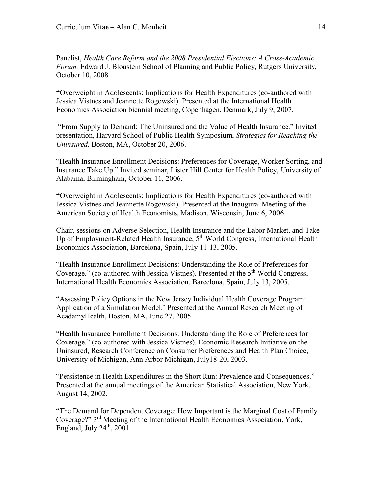Panelist, *Health Care Reform and the 2008 Presidential Elections: A Cross-Academic Forum.* Edward J. Bloustein School of Planning and Public Policy, Rutgers University, October 10, 2008.

**"**Overweight in Adolescents: Implications for Health Expenditures (co-authored with Jessica Vistnes and Jeannette Rogowski). Presented at the International Health Economics Association biennial meeting, Copenhagen, Denmark, July 9, 2007.

"From Supply to Demand: The Uninsured and the Value of Health Insurance." Invited presentation, Harvard School of Public Health Symposium, *Strategies for Reaching the Uninsured,* Boston, MA, October 20, 2006.

"Health Insurance Enrollment Decisions: Preferences for Coverage, Worker Sorting, and Insurance Take Up." Invited seminar, Lister Hill Center for Health Policy, University of Alabama, Birmingham, October 11, 2006.

**"**Overweight in Adolescents: Implications for Health Expenditures (co-authored with Jessica Vistnes and Jeannette Rogowski). Presented at the Inaugural Meeting of the American Society of Health Economists, Madison, Wisconsin, June 6, 2006.

Chair, sessions on Adverse Selection, Health Insurance and the Labor Market, and Take Up of Employment-Related Health Insurance, 5<sup>th</sup> World Congress, International Health Economics Association, Barcelona, Spain, July 11-13, 2005.

"Health Insurance Enrollment Decisions: Understanding the Role of Preferences for Coverage." (co-authored with Jessica Vistnes). Presented at the 5<sup>th</sup> World Congress. International Health Economics Association, Barcelona, Spain, July 13, 2005.

"Assessing Policy Options in the New Jersey Individual Health Coverage Program: Application of a Simulation Model.' Presented at the Annual Research Meeting of AcadamyHealth, Boston, MA, June 27, 2005.

"Health Insurance Enrollment Decisions: Understanding the Role of Preferences for Coverage." (co-authored with Jessica Vistnes). Economic Research Initiative on the Uninsured, Research Conference on Consumer Preferences and Health Plan Choice, University of Michigan, Ann Arbor Michigan, July18-20, 2003.

"Persistence in Health Expenditures in the Short Run: Prevalence and Consequences." Presented at the annual meetings of the American Statistical Association, New York, August 14, 2002.

"The Demand for Dependent Coverage: How Important is the Marginal Cost of Family Coverage?" 3rd Meeting of the International Health Economics Association, York, England, July  $24<sup>th</sup>$ , 2001.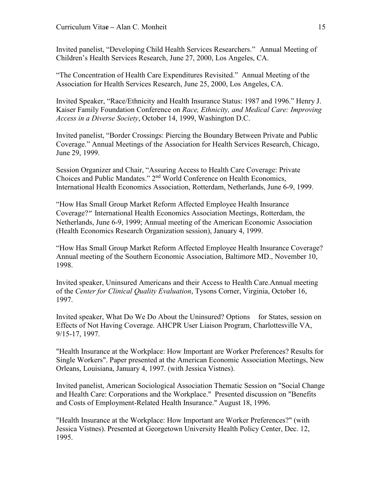Invited panelist, "Developing Child Health Services Researchers." Annual Meeting of Children's Health Services Research, June 27, 2000, Los Angeles, CA.

"The Concentration of Health Care Expenditures Revisited." Annual Meeting of the Association for Health Services Research, June 25, 2000, Los Angeles, CA.

Invited Speaker, "Race/Ethnicity and Health Insurance Status: 1987 and 1996." Henry J. Kaiser Family Foundation Conference on *Race, Ethnicity, and Medical Care: Improving Access in a Diverse Society*, October 14, 1999, Washington D.C.

Invited panelist, "Border Crossings: Piercing the Boundary Between Private and Public Coverage." Annual Meetings of the Association for Health Services Research, Chicago, June 29, 1999.

Session Organizer and Chair, "Assuring Access to Health Care Coverage: Private Choices and Public Mandates." 2nd World Conference on Health Economics, International Health Economics Association, Rotterdam, Netherlands, June 6-9, 1999.

"How Has Small Group Market Reform Affected Employee Health Insurance Coverage?" International Health Economics Association Meetings, Rotterdam, the Netherlands, June 6-9, 1999; Annual meeting of the American Economic Association (Health Economics Research Organization session), January 4, 1999.

"How Has Small Group Market Reform Affected Employee Health Insurance Coverage? Annual meeting of the Southern Economic Association, Baltimore MD., November 10, 1998.

Invited speaker, Uninsured Americans and their Access to Health Care.Annual meeting of the *Center for Clinical Quality Evaluation*, Tysons Corner, Virginia, October 16, 1997.

Invited speaker, What Do We Do About the Uninsured? Options for States, session on Effects of Not Having Coverage. AHCPR User Liaison Program, Charlottesville VA, 9/15-17, 1997.

"Health Insurance at the Workplace: How Important are Worker Preferences? Results for Single Workers". Paper presented at the American Economic Association Meetings, New Orleans, Louisiana, January 4, 1997. (with Jessica Vistnes).

Invited panelist, American Sociological Association Thematic Session on "Social Change and Health Care: Corporations and the Workplace." Presented discussion on "Benefits and Costs of Employment-Related Health Insurance." August 18, 1996.

"Health Insurance at the Workplace: How Important are Worker Preferences?" (with Jessica Vistnes). Presented at Georgetown University Health Policy Center, Dec. 12, 1995.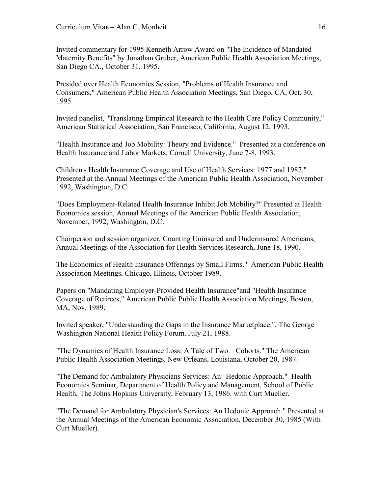Invited commentary for 1995 Kenneth Arrow Award on "The Incidence of Mandated Maternity Benefits" by Jonathan Gruber, American Public Health Association Meetings, San Diego CA., October 31, 1995.

Presided over Health Economics Session, "Problems of Health Insurance and Consumers," American Public Health Association Meetings, San Diego, CA, Oct. 30, 1995.

Invited panelist, "Translating Empirical Research to the Health Care Policy Community," American Statistical Association, San Francisco, California, August 12, 1993.

"Health Insurance and Job Mobility: Theory and Evidence." Presented at a conference on Health Insurance and Labor Markets, Cornell University, June 7-8, 1993.

Children's Health Insurance Coverage and Use of Health Services: 1977 and 1987." Presented at the Annual Meetings of the American Public Health Association, November 1992, Washington, D.C.

"Does Employment-Related Health Insurance Inhibit Job Mobility?" Presented at Health Economics session, Annual Meetings of the American Public Health Association, November, 1992, Washington, D.C.

Chairperson and session organizer, Counting Uninsured and Underinsured Americans, Annual Meetings of the Association for Health Services Research, June 18, 1990.

The Economics of Health Insurance Offerings by Small Firms." American Public Health Association Meetings, Chicago, Illinois, October 1989.

Papers on "Mandating Employer-Provided Health Insurance"and "Health Insurance Coverage of Retirees," American Public Public Health Association Meetings, Boston, MA, Nov. 1989.

Invited speaker, "Understanding the Gaps in the Insurance Marketplace.", The George Washington National Health Policy Forum. July 21, 1988.

"The Dynamics of Health Insurance Loss: A Tale of Two Cohorts." The American Public Health Association Meetings, New Orleans, Louisiana, October 20, 1987.

"The Demand for Ambulatory Physicians Services: An Hedonic Approach." Health Economics Seminar, Department of Health Policy and Management, School of Public Health, The Johns Hopkins University, February 13, 1986. with Curt Mueller.

"The Demand for Ambulatory Physician's Services: An Hedonic Approach." Presented at the Annual Meetings of the American Economic Association, December 30, 1985 (With Curt Mueller).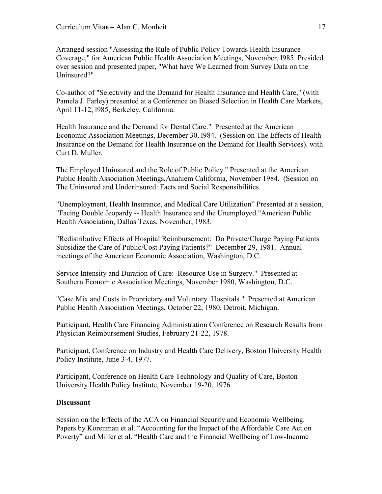Arranged session "Assessing the Rule of Public Policy Towards Health Insurance Coverage," for American Public Health Association Meetings, November, l985. Presided over session and presented paper, "What have We Learned from Survey Data on the Uninsured?"

Co-author of "Selectivity and the Demand for Health Insurance and Health Care," (with Pamela J. Farley) presented at a Conference on Biased Selection in Health Care Markets, April 11-12, l985, Berkeley, California.

Health Insurance and the Demand for Dental Care." Presented at the American Economic Association Meetings, December 30, l984. (Session on The Effects of Health Insurance on the Demand for Health Insurance on the Demand for Health Services). with Curt D. Muller.

The Employed Uninsured and the Role of Public Policy." Presented at the American Public Health Association Meetings,Anahiem California, November 1984. (Session on The Uninsured and Underinsured: Facts and Social Responsibilities.

"Unemployment, Health Insurance, and Medical Care Utilization" Presented at a session, "Facing Double Jeopardy -- Health Insurance and the Unemployed."American Public Health Association, Dallas Texas, November, 1983.

"Redistributive Effects of Hospital Reimbursement: Do Private/Charge Paying Patients Subsidize the Care of Public/Cost Paying Patients?" December 29, 1981. Annual meetings of the American Economic Association, Washington, D.C.

Service Intensity and Duration of Care: Resource Use in Surgery." Presented at Southern Economic Association Meetings, November 1980, Washington, D.C.

"Case Mix and Costs in Proprietary and Voluntary Hospitals." Presented at American Public Health Association Meetings, October 22, 1980, Detroit, Michigan.

Participant, Health Care Financing Administration Conference on Research Results from Physician Reimbursement Studies, February 21-22, 1978.

Participant, Conference on Industry and Health Care Delivery, Boston University Health Policy Institute, June 3-4, 1977.

Participant, Conference on Health Care Technology and Quality of Care, Boston University Health Policy Institute, November 19-20, 1976.

# **Discussant**

Session on the Effects of the ACA on Financial Security and Economic Wellbeing. Papers by Korenman et al. "Accounting for the Impact of the Affordable Care Act on Poverty" and Miller et al. "Health Care and the Financial Wellbeing of Low-Income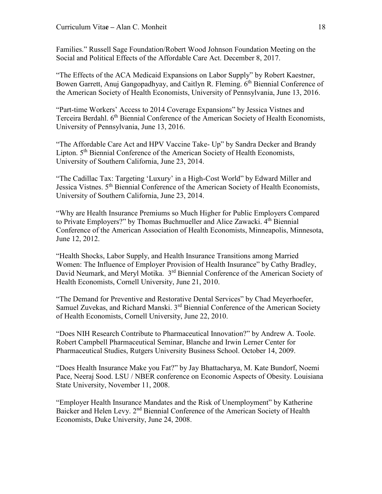Families." Russell Sage Foundation/Robert Wood Johnson Foundation Meeting on the Social and Political Effects of the Affordable Care Act. December 8, 2017.

"The Effects of the ACA Medicaid Expansions on Labor Supply" by Robert Kaestner, Bowen Garrett, Anuj Gangopadhyay, and Caitlyn R. Fleming. 6<sup>th</sup> Biennial Conference of the American Society of Health Economists, University of Pennsylvania, June 13, 2016.

"Part-time Workers' Access to 2014 Coverage Expansions" by Jessica Vistnes and Terceira Berdahl. 6<sup>th</sup> Biennial Conference of the American Society of Health Economists, University of Pennsylvania, June 13, 2016.

"The Affordable Care Act and HPV Vaccine Take- Up" by Sandra Decker and Brandy Lipton. 5<sup>th</sup> Biennial Conference of the American Society of Health Economists, University of Southern California, June 23, 2014.

"The Cadillac Tax: Targeting 'Luxury' in a High-Cost World" by Edward Miller and Jessica Vistnes. 5<sup>th</sup> Biennial Conference of the American Society of Health Economists, University of Southern California, June 23, 2014.

"Why are Health Insurance Premiums so Much Higher for Public Employers Compared to Private Employers?" by Thomas Buchmueller and Alice Zawacki. 4<sup>th</sup> Biennial Conference of the American Association of Health Economists, Minneapolis, Minnesota, June 12, 2012.

"Health Shocks, Labor Supply, and Health Insurance Transitions among Married Women: The Influence of Employer Provision of Health Insurance" by Cathy Bradley, David Neumark, and Meryl Motika. 3<sup>rd</sup> Biennial Conference of the American Society of Health Economists, Cornell University, June 21, 2010.

"The Demand for Preventive and Restorative Dental Services" by Chad Meyerhoefer, Samuel Zuvekas, and Richard Manski. 3<sup>rd</sup> Biennial Conference of the American Society of Health Economists, Cornell University, June 22, 2010.

"Does NIH Research Contribute to Pharmaceutical Innovation?" by Andrew A. Toole. Robert Campbell Pharmaceutical Seminar, Blanche and Irwin Lerner Center for Pharmaceutical Studies, Rutgers University Business School. October 14, 2009.

"Does Health Insurance Make you Fat?" by Jay Bhattacharya, M. Kate Bundorf, Noemi Pace, Neeraj Sood. LSU / NBER conference on Economic Aspects of Obesity. Louisiana State University, November 11, 2008.

"Employer Health Insurance Mandates and the Risk of Unemployment" by Katherine Baicker and Helen Levy. 2<sup>nd</sup> Biennial Conference of the American Society of Health Economists, Duke University, June 24, 2008.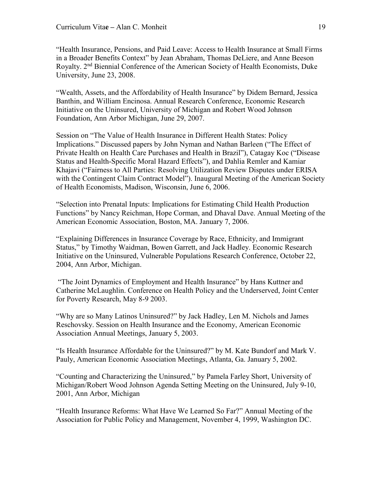"Health Insurance, Pensions, and Paid Leave: Access to Health Insurance at Small Firms in a Broader Benefits Context" by Jean Abraham, Thomas DeLiere, and Anne Beeson Royalty. 2<sup>nd</sup> Biennial Conference of the American Society of Health Economists, Duke University, June 23, 2008.

"Wealth, Assets, and the Affordability of Health Insurance" by Didem Bernard, Jessica Banthin, and William Encinosa. Annual Research Conference, Economic Research Initiative on the Uninsured, University of Michigan and Robert Wood Johnson Foundation, Ann Arbor Michigan, June 29, 2007.

Session on "The Value of Health Insurance in Different Health States: Policy Implications." Discussed papers by John Nyman and Nathan Barleen ("The Effect of Private Health on Health Care Purchases and Health in Brazil"), Catagay Koc ("Disease Status and Health-Specific Moral Hazard Effects"), and Dahlia Remler and Kamiar Khajavi ("Fairness to All Parties: Resolving Utilization Review Disputes under ERISA with the Contingent Claim Contract Model"). Inaugural Meeting of the American Society of Health Economists, Madison, Wisconsin, June 6, 2006.

"Selection into Prenatal Inputs: Implications for Estimating Child Health Production Functions" by Nancy Reichman, Hope Corman, and Dhaval Dave. Annual Meeting of the American Economic Association, Boston, MA. January 7, 2006.

"Explaining Differences in Insurance Coverage by Race, Ethnicity, and Immigrant Status," by Timothy Waidman, Bowen Garrett, and Jack Hadley. Economic Research Initiative on the Uninsured, Vulnerable Populations Research Conference, October 22, 2004, Ann Arbor, Michigan.

"The Joint Dynamics of Employment and Health Insurance" by Hans Kuttner and Catherine McLaughlin. Conference on Health Policy and the Underserved, Joint Center for Poverty Research, May 8-9 2003.

"Why are so Many Latinos Uninsured?" by Jack Hadley, Len M. Nichols and James Reschovsky. Session on Health Insurance and the Economy, American Economic Association Annual Meetings, January 5, 2003.

"Is Health Insurance Affordable for the Uninsured?" by M. Kate Bundorf and Mark V. Pauly, American Economic Association Meetings, Atlanta, Ga. January 5, 2002.

"Counting and Characterizing the Uninsured," by Pamela Farley Short, University of Michigan/Robert Wood Johnson Agenda Setting Meeting on the Uninsured, July 9-10, 2001, Ann Arbor, Michigan

"Health Insurance Reforms: What Have We Learned So Far?" Annual Meeting of the Association for Public Policy and Management, November 4, 1999, Washington DC.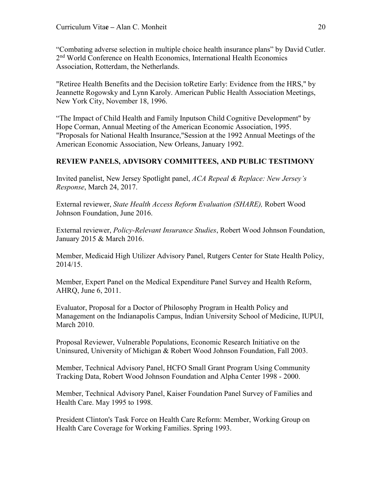"Combating adverse selection in multiple choice health insurance plans" by David Cutler. 2<sup>nd</sup> World Conference on Health Economics, International Health Economics Association, Rotterdam, the Netherlands.

"Retiree Health Benefits and the Decision toRetire Early: Evidence from the HRS," by Jeannette Rogowsky and Lynn Karoly. American Public Health Association Meetings, New York City, November 18, 1996.

"The Impact of Child Health and Family Inputson Child Cognitive Development" by Hope Corman, Annual Meeting of the American Economic Association, 1995. "Proposals for National Health Insurance,"Session at the 1992 Annual Meetings of the American Economic Association, New Orleans, January 1992.

# **REVIEW PANELS, ADVISORY COMMITTEES, AND PUBLIC TESTIMONY**

Invited panelist, New Jersey Spotlight panel, *ACA Repeal & Replace: New Jersey's Response*, March 24, 2017.

External reviewer, *State Health Access Reform Evaluation (SHARE),* Robert Wood Johnson Foundation, June 2016.

External reviewer, *Policy-Relevant Insurance Studies*, Robert Wood Johnson Foundation, January 2015 & March 2016.

Member, Medicaid High Utilizer Advisory Panel, Rutgers Center for State Health Policy, 2014/15.

Member, Expert Panel on the Medical Expenditure Panel Survey and Health Reform, AHRQ, June 6, 2011.

Evaluator, Proposal for a Doctor of Philosophy Program in Health Policy and Management on the Indianapolis Campus, Indian University School of Medicine, IUPUI, March 2010.

Proposal Reviewer, Vulnerable Populations, Economic Research Initiative on the Uninsured, University of Michigan & Robert Wood Johnson Foundation, Fall 2003.

Member, Technical Advisory Panel, HCFO Small Grant Program Using Community Tracking Data, Robert Wood Johnson Foundation and Alpha Center 1998 - 2000.

Member, Technical Advisory Panel, Kaiser Foundation Panel Survey of Families and Health Care. May 1995 to 1998.

President Clinton's Task Force on Health Care Reform: Member, Working Group on Health Care Coverage for Working Families. Spring 1993.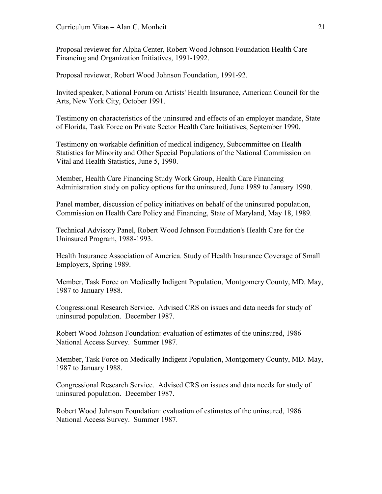Proposal reviewer for Alpha Center, Robert Wood Johnson Foundation Health Care Financing and Organization Initiatives, 1991-1992.

Proposal reviewer, Robert Wood Johnson Foundation, 1991-92.

Invited speaker, National Forum on Artists' Health Insurance, American Council for the Arts, New York City, October 1991.

Testimony on characteristics of the uninsured and effects of an employer mandate, State of Florida, Task Force on Private Sector Health Care Initiatives, September 1990.

Testimony on workable definition of medical indigency, Subcommittee on Health Statistics for Minority and Other Special Populations of the National Commission on Vital and Health Statistics, June 5, 1990.

Member, Health Care Financing Study Work Group, Health Care Financing Administration study on policy options for the uninsured, June 1989 to January 1990.

Panel member, discussion of policy initiatives on behalf of the uninsured population, Commission on Health Care Policy and Financing, State of Maryland, May 18, 1989.

Technical Advisory Panel, Robert Wood Johnson Foundation's Health Care for the Uninsured Program, 1988-1993.

Health Insurance Association of America. Study of Health Insurance Coverage of Small Employers, Spring 1989.

Member, Task Force on Medically Indigent Population, Montgomery County, MD. May, 1987 to January 1988.

Congressional Research Service. Advised CRS on issues and data needs for study of uninsured population. December 1987.

Robert Wood Johnson Foundation: evaluation of estimates of the uninsured, 1986 National Access Survey. Summer 1987.

Member, Task Force on Medically Indigent Population, Montgomery County, MD. May, 1987 to January 1988.

Congressional Research Service. Advised CRS on issues and data needs for study of uninsured population. December 1987.

Robert Wood Johnson Foundation: evaluation of estimates of the uninsured, 1986 National Access Survey. Summer 1987.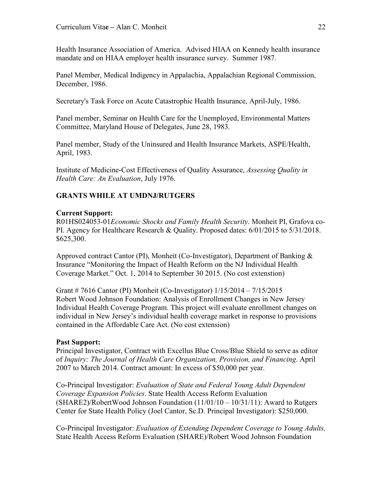Health Insurance Association of America. Advised HIAA on Kennedy health insurance mandate and on HIAA employer health insurance survey. Summer 1987.

Panel Member, Medical Indigency in Appalachia, Appalachian Regional Commission, December, 1986.

Secretary's Task Force on Acute Catastrophic Health Insurance, April-July, 1986.

Panel member, Seminar on Health Care for the Unemployed, Environmental Matters Committee, Maryland House of Delegates, June 28, 1983.

Panel member, Study of the Uninsured and Health Insurance Markets, ASPE/Health, April, 1983.

Institute of Medicine-Cost Effectiveness of Quality Assurance, *Assessing Quality in Health Care: An Evaluation*, July 1976.

# **GRANTS WHILE AT UMDNJ/RUTGERS**

## **Current Support:**

R01HS024053-01*Economic Shocks and Family Health Security*. Monheit PI, Grafova co-PI. Agency for Healthcare Research & Quality. Proposed dates: 6/01/2015 to 5/31/2018. \$625,300.

Approved contract Cantor (PI), Monheit (Co-Investigator), Department of Banking & Insurance "Monitoring the Impact of Health Reform on the NJ Individual Health Coverage Market." Oct. 1, 2014 to September 30 2015. (No cost extenstion)

Grant # 7616 Cantor (PI) Monheit (Co-Investigator) 1/15/2014 – 7/15/2015 Robert Wood Johnson Foundation: Analysis of Enrollment Changes in New Jersey Individual Health Coverage Program. This project will evaluate enrollment changes on individual in New Jersey's individual health coverage market in response to provisions contained in the Affordable Care Act. (No cost extension)

### **Past Support:**

Principal Investigator, Contract with Excellus Blue Cross/Blue Shield to serve as editor of *Inquiry: The Journal of Health Care Organization, Provision, and Financing*. April 2007 to March 2014. Contract amount: In excess of \$50,000 per year.

Co-Principal Investigator: *Evaluation of State and Federal Young Adult Dependent Coverage Expansion Policies*. State Health Access Reform Evaluation  $(SHARE2)/RobertWood Johnson Foundation (11/01/10 - 10/31/11)$ : Award to Rutgers Center for State Health Policy (Joel Cantor, Sc.D. Principal Investigator): \$250,000.

Co-Principal Investigator: *Evaluation of Extending Dependent Coverage to Young Adults,*  State Health Access Reform Evaluation (SHARE)/Robert Wood Johnson Foundation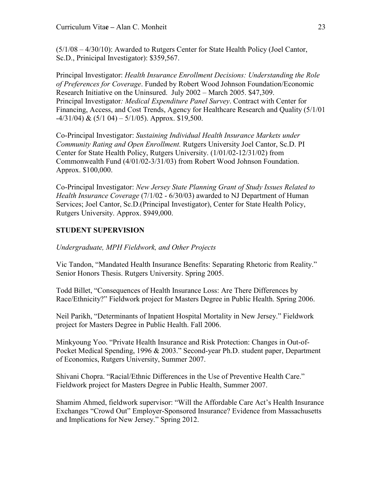(5/1/08 – 4/30/10): Awarded to Rutgers Center for State Health Policy (Joel Cantor, Sc.D., Prinicipal Investigator): \$359,567.

Principal Investigator: *Health Insurance Enrollment Decisions: Understanding the Role of Preferences for Coverage*. Funded by Robert Wood Johnson Foundation/Economic Research Initiative on the Uninsured. July 2002 – March 2005. \$47,309. Principal Investigator*: Medical Expenditure Panel Survey*. Contract with Center for Financing, Access, and Cost Trends, Agency for Healthcare Research and Quality (5/1/01  $-4/31/04$ ) &  $(5/104) - 5/1/05$ ). Approx. \$19,500.

Co-Principal Investigator: *Sustaining Individual Health Insurance Markets under Community Rating and Open Enrollment.* Rutgers University Joel Cantor, Sc.D. PI Center for State Health Policy, Rutgers University. (1/01/02-12/31/02) from Commonwealth Fund (4/01/02-3/31/03) from Robert Wood Johnson Foundation. Approx. \$100,000.

Co-Principal Investigator: *New Jersey State Planning Grant of Study Issues Related to Health Insurance Coverage* (7/1/02 - 6/30/03) awarded to NJ Department of Human Services; Joel Cantor, Sc.D.(Principal Investigator), Center for State Health Policy, Rutgers University. Approx. \$949,000.

# **STUDENT SUPERVISION**

*Undergraduate, MPH Fieldwork, and Other Projects*

Vic Tandon, "Mandated Health Insurance Benefits: Separating Rhetoric from Reality." Senior Honors Thesis. Rutgers University. Spring 2005.

Todd Billet, "Consequences of Health Insurance Loss: Are There Differences by Race/Ethnicity?" Fieldwork project for Masters Degree in Public Health. Spring 2006.

Neil Parikh, "Determinants of Inpatient Hospital Mortality in New Jersey." Fieldwork project for Masters Degree in Public Health. Fall 2006.

Minkyoung Yoo. "Private Health Insurance and Risk Protection: Changes in Out-of-Pocket Medical Spending, 1996 & 2003." Second-year Ph.D. student paper, Department of Economics, Rutgers University, Summer 2007.

Shivani Chopra. "Racial/Ethnic Differences in the Use of Preventive Health Care." Fieldwork project for Masters Degree in Public Health, Summer 2007.

Shamim Ahmed, fieldwork supervisor: "Will the Affordable Care Act's Health Insurance Exchanges "Crowd Out" Employer-Sponsored Insurance? Evidence from Massachusetts and Implications for New Jersey." Spring 2012.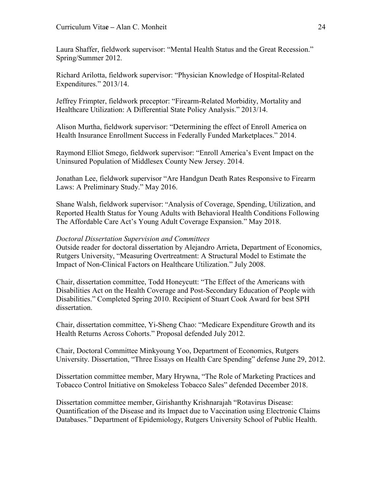Laura Shaffer, fieldwork supervisor: "Mental Health Status and the Great Recession." Spring/Summer 2012.

Richard Arilotta, fieldwork supervisor: "Physician Knowledge of Hospital-Related Expenditures." 2013/14.

Jeffrey Frimpter, fieldwork preceptor: "Firearm-Related Morbidity, Mortality and Healthcare Utilization: A Differential State Policy Analysis." 2013/14.

Alison Murtha, fieldwork supervisor: "Determining the effect of Enroll America on Health Insurance Enrollment Success in Federally Funded Marketplaces." 2014.

Raymond Elliot Smego, fieldwork supervisor: "Enroll America's Event Impact on the Uninsured Population of Middlesex County New Jersey. 2014.

Jonathan Lee, fieldwork supervisor "Are Handgun Death Rates Responsive to Firearm Laws: A Preliminary Study." May 2016.

Shane Walsh, fieldwork supervisor: "Analysis of Coverage, Spending, Utilization, and Reported Health Status for Young Adults with Behavioral Health Conditions Following The Affordable Care Act's Young Adult Coverage Expansion." May 2018.

## *Doctoral Dissertation Supervision and Committees*

Outside reader for doctoral dissertation by Alejandro Arrieta, Department of Economics, Rutgers University, "Measuring Overtreatment: A Structural Model to Estimate the Impact of Non-Clinical Factors on Healthcare Utilization." July 2008.

Chair, dissertation committee, Todd Honeycutt: "The Effect of the Americans with Disabilities Act on the Health Coverage and Post-Secondary Education of People with Disabilities." Completed Spring 2010. Recipient of Stuart Cook Award for best SPH dissertation.

Chair, dissertation committee, Yi-Sheng Chao: "Medicare Expenditure Growth and its Health Returns Across Cohorts." Proposal defended July 2012.

Chair, Doctoral Committee Minkyoung Yoo, Department of Economics, Rutgers University. Dissertation, "Three Essays on Health Care Spending" defense June 29, 2012.

Dissertation committee member, Mary Hrywna, "The Role of Marketing Practices and Tobacco Control Initiative on Smokeless Tobacco Sales" defended December 2018.

Dissertation committee member, Girishanthy Krishnarajah "Rotavirus Disease: Quantification of the Disease and its Impact due to Vaccination using Electronic Claims Databases." Department of Epidemiology, Rutgers University School of Public Health.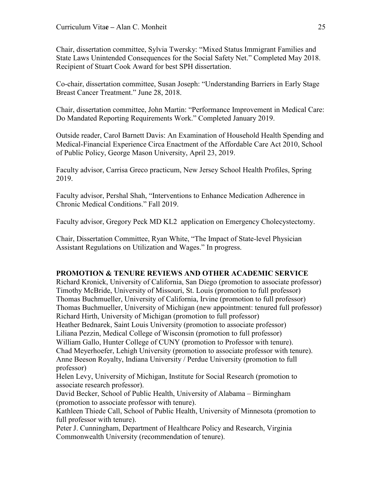Chair, dissertation committee, Sylvia Twersky: "Mixed Status Immigrant Families and State Laws Unintended Consequences for the Social Safety Net." Completed May 2018. Recipient of Stuart Cook Award for best SPH dissertation.

Co-chair, dissertation committee, Susan Joseph: "Understanding Barriers in Early Stage Breast Cancer Treatment." June 28, 2018.

Chair, dissertation committee, John Martin: "Performance Improvement in Medical Care: Do Mandated Reporting Requirements Work." Completed January 2019.

Outside reader, Carol Barnett Davis: An Examination of Household Health Spending and Medical-Financial Experience Circa Enactment of the Affordable Care Act 2010, School of Public Policy, George Mason University, April 23, 2019.

Faculty advisor, Carrisa Greco practicum, New Jersey School Health Profiles, Spring 2019.

Faculty advisor, Pershal Shah, "Interventions to Enhance Medication Adherence in Chronic Medical Conditions." Fall 2019.

Faculty advisor, Gregory Peck MD KL2 application on Emergency Cholecystectomy.

Chair, Dissertation Committee, Ryan White, "The Impact of State-level Physician Assistant Regulations on Utilization and Wages." In progress.

### **PROMOTION & TENURE REVIEWS AND OTHER ACADEMIC SERVICE**

Richard Kronick, University of California, San Diego (promotion to associate professor) Timothy McBride, University of Missouri, St. Louis (promotion to full professor) Thomas Buchmueller, University of California, Irvine (promotion to full professor) Thomas Buchmueller, University of Michigan (new appointment: tenured full professor) Richard Hirth, University of Michigan (promotion to full professor)

Heather Bednarek, Saint Louis University (promotion to associate professor)

Liliana Pezzin, Medical College of Wisconsin (promotion to full professor)

William Gallo, Hunter College of CUNY (promotion to Professor with tenure).

Chad Meyerhoefer, Lehigh University (promotion to associate professor with tenure). Anne Beeson Royalty, Indiana University / Perdue University (promotion to full professor)

Helen Levy, University of Michigan, Institute for Social Research (promotion to associate research professor).

David Becker, School of Public Health, University of Alabama – Birmingham (promotion to associate professor with tenure).

Kathleen Thiede Call, School of Public Health, University of Minnesota (promotion to full professor with tenure).

Peter J. Cunningham, Department of Healthcare Policy and Research, Virginia Commonwealth University (recommendation of tenure).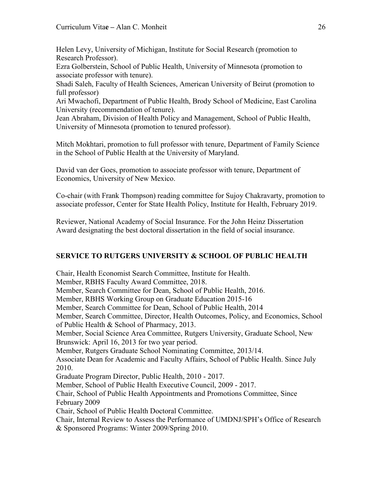Helen Levy, University of Michigan, Institute for Social Research (promotion to Research Professor).

Ezra Golberstein, School of Public Health, University of Minnesota (promotion to associate professor with tenure).

Shadi Saleh, Faculty of Health Sciences, American University of Beirut (promotion to full professor)

Ari Mwachofi, Department of Public Health, Brody School of Medicine, East Carolina University (recommendation of tenure).

Jean Abraham, Division of Health Policy and Management, School of Public Health, University of Minnesota (promotion to tenured professor).

Mitch Mokhtari, promotion to full professor with tenure, Department of Family Science in the School of Public Health at the University of Maryland.

David van der Goes, promotion to associate professor with tenure, Department of Economics, University of New Mexico.

Co-chair (with Frank Thompson) reading committee for Sujoy Chakravarty, promotion to associate professor, Center for State Health Policy, Institute for Health, February 2019.

Reviewer, National Academy of Social Insurance. For the John Heinz Dissertation Award designating the best doctoral dissertation in the field of social insurance.

# **SERVICE TO RUTGERS UNIVERSITY & SCHOOL OF PUBLIC HEALTH**

Chair, Health Economist Search Committee, Institute for Health. Member, RBHS Faculty Award Committee, 2018. Member, Search Committee for Dean, School of Public Health, 2016. Member, RBHS Working Group on Graduate Education 2015-16 Member, Search Committee for Dean, School of Public Health, 2014 Member, Search Committee, Director, Health Outcomes, Policy, and Economics, School of Public Health & School of Pharmacy, 2013. Member, Social Science Area Committee, Rutgers University, Graduate School, New Brunswick: April 16, 2013 for two year period. Member, Rutgers Graduate School Nominating Committee, 2013/14. Associate Dean for Academic and Faculty Affairs, School of Public Health. Since July 2010. Graduate Program Director, Public Health, 2010 - 2017. Member, School of Public Health Executive Council, 2009 - 2017. Chair, School of Public Health Appointments and Promotions Committee, Since February 2009 Chair, School of Public Health Doctoral Committee. Chair, Internal Review to Assess the Performance of UMDNJ/SPH's Office of Research & Sponsored Programs: Winter 2009/Spring 2010.